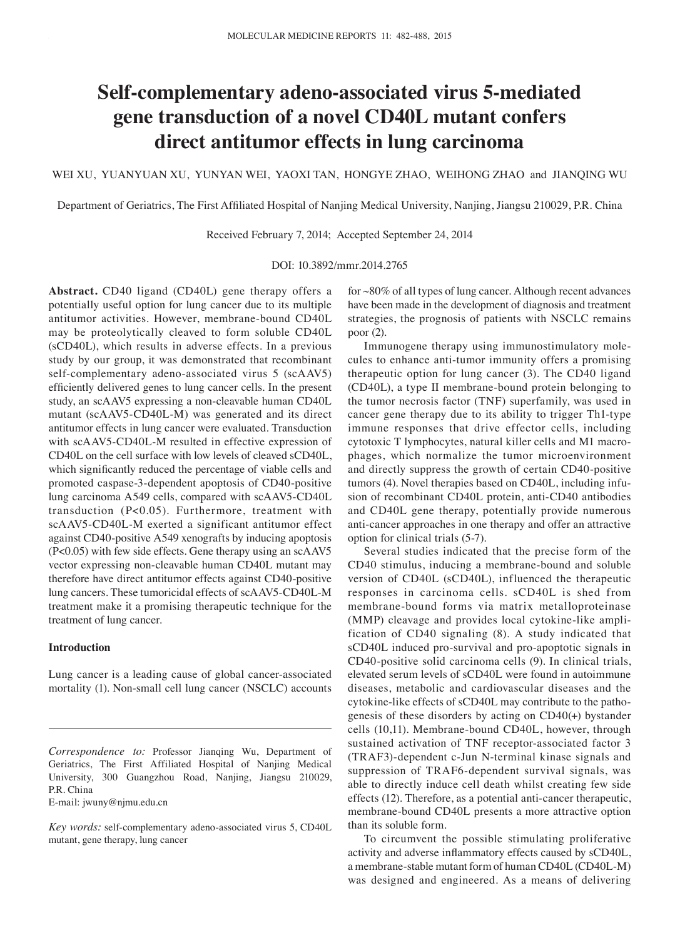# **Self‑complementary adeno‑associated virus 5‑mediated gene transduction of a novel CD40L mutant confers direct antitumor effects in lung carcinoma**

WEI XU, YUANYUAN XU, YUNYAN WEI, YAOXI TAN, HONGYE ZHAO, WEIHONG ZHAO and JIANQING WU

Department of Geriatrics, The First Affiliated Hospital of Nanjing Medical University, Nanjing, Jiangsu 210029, P.R. China

Received February 7, 2014; Accepted September 24, 2014

#### DOI: 10.3892/mmr.2014.2765

**Abstract.** CD40 ligand (CD40L) gene therapy offers a potentially useful option for lung cancer due to its multiple antitumor activities. However, membrane-bound CD40L may be proteolytically cleaved to form soluble CD40L (sCD40L), which results in adverse effects. In a previous study by our group, it was demonstrated that recombinant self-complementary adeno-associated virus 5 (scAAV5) efficiently delivered genes to lung cancer cells. In the present study, an scAAV5 expressing a non-cleavable human CD40L mutant (scAAV5-CD40L-M) was generated and its direct antitumor effects in lung cancer were evaluated. Transduction with scAAV5-CD40L-M resulted in effective expression of CD40L on the cell surface with low levels of cleaved sCD40L, which significantly reduced the percentage of viable cells and promoted caspase-3-dependent apoptosis of CD40-positive lung carcinoma A549 cells, compared with scAAV5-CD40L transduction (P<0.05). Furthermore, treatment with scAAV5-CD40L-M exerted a significant antitumor effect against CD40-positive A549 xenografts by inducing apoptosis (P<0.05) with few side effects. Gene therapy using an scAAV5 vector expressing non-cleavable human CD40L mutant may therefore have direct antitumor effects against CD40-positive lung cancers. These tumoricidal effects of scAAV5-CD40L-M treatment make it a promising therapeutic technique for the treatment of lung cancer.

## **Introduction**

Lung cancer is a leading cause of global cancer-associated mortality (1). Non-small cell lung cancer (NSCLC) accounts

E‑mail: jwuny@njmu.edu.cn

for ~80% of all types of lung cancer. Although recent advances have been made in the development of diagnosis and treatment strategies, the prognosis of patients with NSCLC remains poor (2).

Immunogene therapy using immunostimulatory molecules to enhance anti-tumor immunity offers a promising therapeutic option for lung cancer (3). The CD40 ligand (CD40L), a type Ⅱ membrane‑bound protein belonging to the tumor necrosis factor (TNF) superfamily, was used in cancer gene therapy due to its ability to trigger Th1-type immune responses that drive effector cells, including cytotoxic T lymphocytes, natural killer cells and M1 macrophages, which normalize the tumor microenvironment and directly suppress the growth of certain CD40-positive tumors (4). Novel therapies based on CD40L, including infusion of recombinant CD40L protein, anti-CD40 antibodies and CD40L gene therapy, potentially provide numerous anti-cancer approaches in one therapy and offer an attractive option for clinical trials (5-7).

Several studies indicated that the precise form of the CD40 stimulus, inducing a membrane-bound and soluble version of CD40L (sCD40L), influenced the therapeutic responses in carcinoma cells. sCD40L is shed from membrane-bound forms via matrix metalloproteinase (MMP) cleavage and provides local cytokine-like amplification of CD40 signaling (8). A study indicated that sCD40L induced pro-survival and pro-apoptotic signals in CD40-positive solid carcinoma cells (9). In clinical trials, elevated serum levels of sCD40L were found in autoimmune diseases, metabolic and cardiovascular diseases and the cytokine-like effects of sCD40L may contribute to the pathogenesis of these disorders by acting on CD40(+) bystander cells (10,11). Membrane-bound CD40L, however, through sustained activation of TNF receptor-associated factor 3 (TRAF3)-dependent c-Jun N-terminal kinase signals and suppression of TRAF6-dependent survival signals, was able to directly induce cell death whilst creating few side effects (12). Therefore, as a potential anti-cancer therapeutic, membrane-bound CD40L presents a more attractive option than its soluble form.

To circumvent the possible stimulating proliferative activity and adverse inflammatory effects caused by sCD40L, a membrane-stable mutant form of human CD40L (CD40L-M) was designed and engineered. As a means of delivering

*Correspondence to:* Professor Jianqing Wu, Department of Geriatrics, The First Affiliated Hospital of Nanjing Medical University, 300 Guangzhou Road, Nanjing, Jiangsu 210029, P.R. China

*Key words:* self-complementary adeno-associated virus 5, CD40L mutant, gene therapy, lung cancer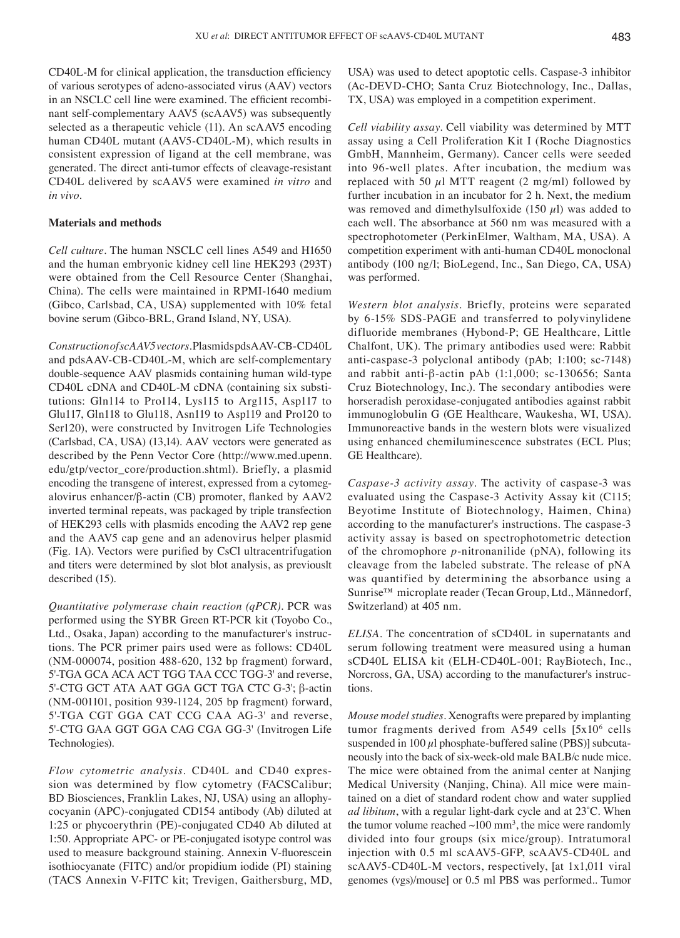CD40L‑M for clinical application, the transduction efficiency of various serotypes of adeno-associated virus (AAV) vectors in an NSCLC cell line were examined. The efficient recombinant self-complementary AAV5 (scAAV5) was subsequently selected as a therapeutic vehicle (11). An scAAV5 encoding human CD40L mutant (AAV5-CD40L-M), which results in consistent expression of ligand at the cell membrane, was generated. The direct anti-tumor effects of cleavage-resistant CD40L delivered by scAAV5 were examined *in vitro* and *in vivo.* 

## **Materials and methods**

*Cell culture.* The human NSCLC cell lines A549 and H1650 and the human embryonic kidney cell line HEK293 (293T) were obtained from the Cell Resource Center (Shanghai, China). The cells were maintained in RPMI-1640 medium (Gibco, Carlsbad, CA, USA) supplemented with 10% fetal bovine serum (Gibco-BRL, Grand Island, NY, USA).

*Construction of scAAV5 vectors.* Plasmids pdsAAV-CB-CD40L and pdsAAV-CB-CD40L-M, which are self-complementary double-sequence AAV plasmids containing human wild-type CD40L cDNA and CD40L-M cDNA (containing six substitutions: Gln114 to Pro114, Lys115 to Arg115, Asp117 to Glu117, Gln118 to Glu118, Asn119 to Asp119 and Pro120 to Ser120), were constructed by Invitrogen Life Technologies (Carlsbad, CA, USA) (13,14). AAV vectors were generated as described by the Penn Vector Core (http://www.med.upenn. edu/gtp/vector\_core/production.shtml). Briefly, a plasmid encoding the transgene of interest, expressed from a cytomegalovirus enhancer/β‑actin (CB) promoter, flanked by AAV2 inverted terminal repeats, was packaged by triple transfection of HEK293 cells with plasmids encoding the AAV2 rep gene and the AAV5 cap gene and an adenovirus helper plasmid (Fig. 1A). Vectors were purified by CsCl ultracentrifugation and titers were determined by slot blot analysis, as previouslt described (15).

*Quantitative polymerase chain reaction (qPCR).* PCR was performed using the SYBR Green RT-PCR kit (Toyobo Co., Ltd., Osaka, Japan) according to the manufacturer's instructions. The PCR primer pairs used were as follows: CD40L (NM-000074, position 488-620, 132 bp fragment) forward, 5'-TGA GCA ACA ACT TGG TAA CCC TGG-3' and reverse, 5'-CTG GCT ATA AAT GGA GCT TGA CTC G-3'; β-actin (NM-001101, position 939-1124, 205 bp fragment) forward, 5'-TGA CGT GGA CAT CCG CAA AG-3' and reverse, 5'-CTG GAA GGT GGA CAG CGA GG-3' (Invitrogen Life Technologies).

*Flow cytometric analysis.* CD40L and CD40 expression was determined by flow cytometry (FACSCalibur; BD Biosciences, Franklin Lakes, NJ, USA) using an allophycocyanin (APC)‑conjugated CD154 antibody (Ab) diluted at 1:25 or phycoerythrin (PE)‑conjugated CD40 Ab diluted at 1:50. Appropriate APC‑ or PE‑conjugated isotype control was used to measure background staining. Annexin V‑fluorescein isothiocyanate (FITC) and/or propidium iodide (PI) staining (TACS Annexin V-FITC kit; Trevigen, Gaithersburg, MD, USA) was used to detect apoptotic cells. Caspase-3 inhibitor (Ac-DEVD-CHO; Santa Cruz Biotechnology, Inc., Dallas, TX, USA) was employed in a competition experiment.

*Cell viability assay.* Cell viability was determined by MTT assay using a Cell Proliferation Kit I (Roche Diagnostics GmbH, Mannheim, Germany). Cancer cells were seeded into 96-well plates. After incubation, the medium was replaced with 50  $\mu$ l MTT reagent (2 mg/ml) followed by further incubation in an incubator for 2 h. Next, the medium was removed and dimethylsulfoxide (150  $\mu$ l) was added to each well. The absorbance at 560 nm was measured with a spectrophotometer (PerkinElmer, Waltham, MA, USA). A competition experiment with anti-human CD40L monoclonal antibody (100 ng/l; BioLegend, Inc., San Diego, CA, USA) was performed.

*Western blot analysis.* Briefly, proteins were separated by 6-15% SDS-PAGE and transferred to polyvinylidene difluoride membranes (Hybond-P; GE Healthcare, Little Chalfont, UK). The primary antibodies used were: Rabbit anti-caspase-3 polyclonal antibody (pAb; 1:100; sc-7148) and rabbit anti-β-actin pAb (1:1,000; sc-130656; Santa Cruz Biotechnology, Inc.). The secondary antibodies were horseradish peroxidase‑conjugated antibodies against rabbit immunoglobulin G (GE Healthcare, Waukesha, WI, USA). Immunoreactive bands in the western blots were visualized using enhanced chemiluminescence substrates (ECL Plus; GE Healthcare).

*Caspase‑3 activity assay.* The activity of caspase-3 was evaluated using the Caspase-3 Activity Assay kit (C115; Beyotime Institute of Biotechnology, Haimen, China) according to the manufacturer's instructions. The caspase-3 activity assay is based on spectrophotometric detection of the chromophore *p*-nitronanilide (pNA), following its cleavage from the labeled substrate. The release of pNA was quantified by determining the absorbance using a Sunrise™ microplate reader (Tecan Group, Ltd., Männedorf, Switzerland) at 405 nm.

*ELISA.* The concentration of sCD40L in supernatants and serum following treatment were measured using a human sCD40L ELISA kit (ELH-CD40L-001; RayBiotech, Inc., Norcross, GA, USA) according to the manufacturer's instructions.

*Mouse model studies.* Xenografts were prepared by implanting tumor fragments derived from A549 cells  $[5x10<sup>6</sup>$  cells suspended in  $100 \mu l$  phosphate-buffered saline (PBS)] subcutaneously into the back of six-week-old male BALB/c nude mice. The mice were obtained from the animal center at Nanjing Medical University (Nanjing, China). All mice were maintained on a diet of standard rodent chow and water supplied *ad libitum*, with a regular light‑dark cycle and at 23˚C. When the tumor volume reached  $\sim 100 \text{ mm}^3$ , the mice were randomly divided into four groups (six mice/group). Intratumoral injection with 0.5 ml scAAV5‑GFP, scAAV5‑CD40L and scAAV5-CD40L-M vectors, respectively, [at 1x1,011 viral genomes (vgs)/mouse] or 0.5 ml PBS was performed.. Tumor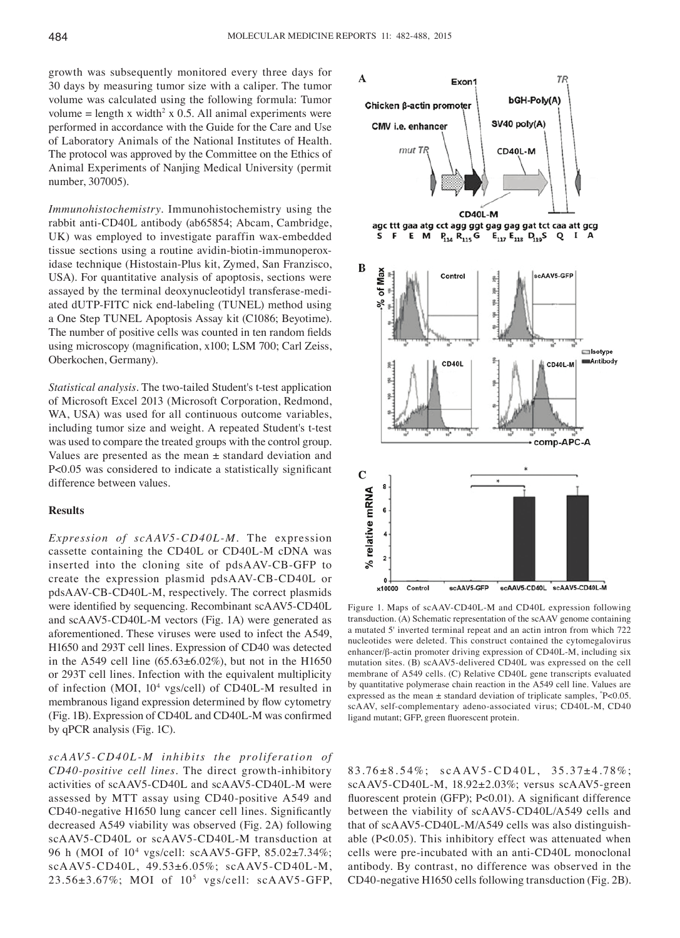growth was subsequently monitored every three days for 30 days by measuring tumor size with a caliper. The tumor volume was calculated using the following formula: Tumor volume = length x width<sup>2</sup> x 0.5. All animal experiments were performed in accordance with the Guide for the Care and Use of Laboratory Animals of the National Institutes of Health. The protocol was approved by the Committee on the Ethics of Animal Experiments of Nanjing Medical University (permit number, 307005).

*Immunohistochemistry.* Immunohistochemistry using the rabbit anti-CD40L antibody (ab65854; Abcam, Cambridge, UK) was employed to investigate paraffin wax-embedded tissue sections using a routine avidin-biotin-immunoperoxidase technique (Histostain-Plus kit, Zymed, San Franzisco, USA). For quantitative analysis of apoptosis, sections were assayed by the terminal deoxynucleotidyl transferase-mediated dUTP-FITC nick end-labeling (TUNEL) method using a One Step TUNEL Apoptosis Assay kit (C1086; Beyotime). The number of positive cells was counted in ten random fields using microscopy (magnification, x100; LSM 700; Carl Zeiss, Oberkochen, Germany).

*Statistical analysis.* The two-tailed Student's t-test application of Microsoft Excel 2013 (Microsoft Corporation, Redmond, WA, USA) was used for all continuous outcome variables, including tumor size and weight. A repeated Student's t-test was used to compare the treated groups with the control group. Values are presented as the mean  $\pm$  standard deviation and P<0.05 was considered to indicate a statistically significant difference between values.

#### **Results**

*Expression of scAAV5‑CD40L‑M.* The expression cassette containing the CD40L or CD40L-M cDNA was inserted into the cloning site of pdsAAV-CB-GFP to create the expression plasmid pdsAAV-CB-CD40L or pdsAAV-CB-CD40L-M, respectively. The correct plasmids were identified by sequencing. Recombinant scAAV5‑CD40L and scAAV5-CD40L-M vectors (Fig. 1A) were generated as aforementioned. These viruses were used to infect the A549, H1650 and 293T cell lines. Expression of CD40 was detected in the A549 cell line  $(65.63 \pm 6.02\%)$ , but not in the H1650 or 293T cell lines. Infection with the equivalent multiplicity of infection (MOI, 104 vgs/cell) of CD40L-M resulted in membranous ligand expression determined by flow cytometry (Fig. 1B). Expression of CD40L and CD40L-M was confirmed by qPCR analysis (Fig. 1C).

*scA AV5‑ CD4 0L ‑M inhibits the proliferation of CD40‑positive cell lines.* The direct growth-inhibitory activities of scAAV5-CD40L and scAAV5-CD40L-M were assessed by MTT assay using CD40-positive A549 and CD40‑negative H1650 lung cancer cell lines. Significantly decreased A549 viability was observed (Fig. 2A) following scAAV5-CD40L or scAAV5-CD40L-M transduction at 96 h (MOI of 104 vgs/cell: scAAV5-GFP, 85.02±7.34%; scAAV5-CD40L, 49.53±6.05%; scAAV5-CD40L-M, 23.56±3.67%; MOI of 105 vgs/cell: scAAV5-GFP,



Figure 1. Maps of scAAV-CD40L-M and CD40L expression following transduction. (A) Schematic representation of the scAAV genome containing a mutated 5' inverted terminal repeat and an actin intron from which 722 nucleotides were deleted. This construct contained the cytomegalovirus enhancer/β-actin promoter driving expression of CD40L-M, including six mutation sites. (B) scAAV5-delivered CD40L was expressed on the cell membrane of A549 cells. (C) Relative CD40L gene transcripts evaluated by quantitative polymerase chain reaction in the A549 cell line. Values are expressed as the mean  $\pm$  standard deviation of triplicate samples,  $P < 0.05$ . scAAV, self-complementary adeno-associated virus; CD40L-M, CD40 ligand mutant; GFP, green fluorescent protein.

 $83.76 \pm 8.54\%$ ;  $scAAV5-CD40L$ ,  $35.37 \pm 4.78\%$ ; scAAV5-CD40L-M, 18.92±2.03%; versus scAAV5-green fluorescent protein (GFP); P<0.01). A significant difference between the viability of scAAV5-CD40L/A549 cells and that of scAAV5-CD40L-M/A549 cells was also distinguishable (P<0.05). This inhibitory effect was attenuated when cells were pre-incubated with an anti-CD40L monoclonal antibody. By contrast, no difference was observed in the CD40-negative H1650 cells following transduction (Fig. 2B).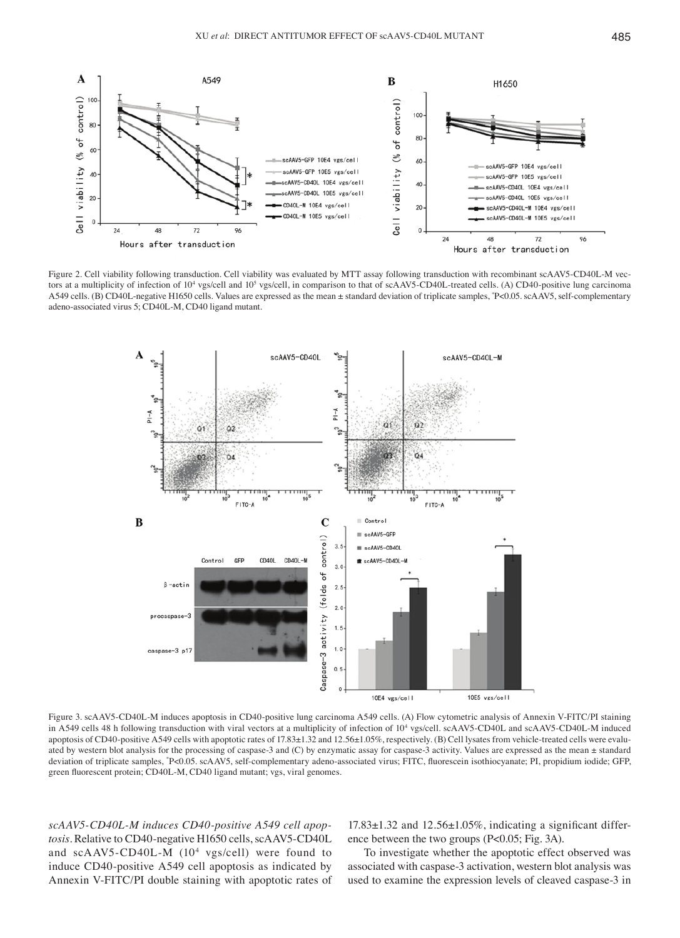

Figure 2. Cell viability following transduction. Cell viability was evaluated by MTT assay following transduction with recombinant scAAV5-CD40L-M vectors at a multiplicity of infection of 10<sup>4</sup> vgs/cell and 10<sup>5</sup> vgs/cell, in comparison to that of scAAV5-CD40L-treated cells. (A) CD40-positive lung carcinoma A549 cells. (B) CD40L-negative H1650 cells. Values are expressed as the mean ± standard deviation of triplicate samples, \* P<0.05. scAAV5, self-complementary adeno-associated virus 5; CD40L-M, CD40 ligand mutant.



Figure 3. scAAV5-CD40L-M induces apoptosis in CD40-positive lung carcinoma A549 cells. (A) Flow cytometric analysis of Annexin V-FITC/PI staining in A549 cells 48 h following transduction with viral vectors at a multiplicity of infection of 10<sup>4</sup> vgs/cell. scAAV5-CD40L and scAAV5-CD40L-M induced apoptosis of CD40-positive A549 cells with apoptotic rates of 17.83±1.32 and 12.56±1.05%, respectively. (B) Cell lysates from vehicle-treated cells were evaluated by western blot analysis for the processing of caspase-3 and (C) by enzymatic assay for caspase-3 activity. Values are expressed as the mean ± standard deviation of triplicate samples, "P<0.05. scAAV5, self-complementary adeno-associated virus; FITC, fluorescein isothiocyanate; PI, propidium iodide; GFP, green fluorescent protein; CD40L-M, CD40 ligand mutant; vgs, viral genomes.

*scAAV5‑CD40L‑M induces CD40‑positive A549 cell apop‑ tosis.* Relative to CD40-negative H1650 cells, scAAV5-CD40L and scAAV5-CD40L-M (104 vgs/cell) were found to induce CD40-positive A549 cell apoptosis as indicated by Annexin V-FITC/PI double staining with apoptotic rates of

17.83±1.32 and 12.56±1.05%, indicating a significant difference between the two groups (P<0.05; Fig. 3A).

To investigate whether the apoptotic effect observed was associated with caspase-3 activation, western blot analysis was used to examine the expression levels of cleaved caspase-3 in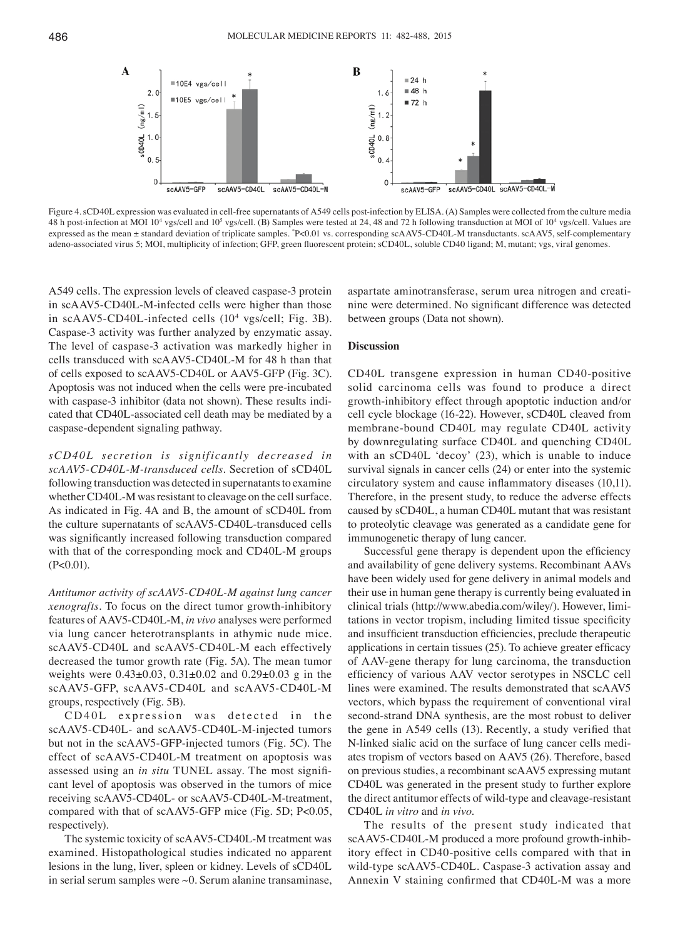

Figure 4. sCD40L expression was evaluated in cell-free supernatants of A549 cells post-infection by ELISA. (A) Samples were collected from the culture media 48 h post-infection at MOI 10<sup>4</sup> vgs/cell and 10<sup>5</sup> vgs/cell. (B) Samples were tested at 24, 48 and 72 h following transduction at MOI of 10<sup>4</sup> vgs/cell. Values are expressed as the mean ± standard deviation of triplicate samples. \* P<0.01 vs. corresponding scAAV5-CD40L-M transductants. scAAV5, self-complementary adeno‑associated virus 5; MOI, multiplicity of infection; GFP, green fluorescent protein; sCD40L, soluble CD40 ligand; M, mutant; vgs, viral genomes.

A549 cells. The expression levels of cleaved caspase-3 protein in scAAV5-CD40L-M-infected cells were higher than those in scAAV5-CD40L-infected cells  $(10^4 \text{ vgs/cell}; \text{Fig. 3B}).$ Caspase-3 activity was further analyzed by enzymatic assay. The level of caspase-3 activation was markedly higher in cells transduced with scAAV5-CD40L-M for 48 h than that of cells exposed to scAAV5-CD40L or AAV5-GFP (Fig. 3C). Apoptosis was not induced when the cells were pre-incubated with caspase-3 inhibitor (data not shown). These results indicated that CD40L-associated cell death may be mediated by a caspase-dependent signaling pathway.

 $sCD40L$  secretion is significantly decreased in *scAAV5‑CD40L‑M‑transduced cells.* Secretion of sCD40L following transduction was detected in supernatants to examine whether CD40L-M was resistant to cleavage on the cell surface. As indicated in Fig. 4A and B, the amount of sCD40L from the culture supernatants of scAAV5-CD40L-transduced cells was significantly increased following transduction compared with that of the corresponding mock and CD40L-M groups  $(P<0.01)$ .

*Antitumor activity of scAAV5‑CD40L‑M against lung cancer xenografts.* To focus on the direct tumor growth-inhibitory features of AAV5-CD40L-M, *in vivo* analyses were performed via lung cancer heterotransplants in athymic nude mice. scAAV5-CD40L and scAAV5-CD40L-M each effectively decreased the tumor growth rate (Fig. 5A). The mean tumor weights were 0.43±0.03, 0.31±0.02 and 0.29±0.03 g in the scAAV5-GFP, scAAV5-CD40L and scAAV5-CD40L-M groups, respectively (Fig. 5B).

CD40L expression was detected in the scAAV5-CD40L- and scAAV5-CD40L-M-injected tumors but not in the scAAV5‑GFP‑injected tumors (Fig. 5C). The effect of scAAV5-CD40L-M treatment on apoptosis was assessed using an *in situ* TUNEL assay. The most significant level of apoptosis was observed in the tumors of mice receiving scAAV5-CD40L- or scAAV5-CD40L-M-treatment, compared with that of scAAV5-GFP mice (Fig. 5D; P<0.05, respectively).

The systemic toxicity of scAAV5-CD40L-M treatment was examined. Histopathological studies indicated no apparent lesions in the lung, liver, spleen or kidney. Levels of sCD40L in serial serum samples were ~0. Serum alanine transaminase,

aspartate aminotransferase, serum urea nitrogen and creatinine were determined. No significant difference was detected between groups (Data not shown).

#### **Discussion**

CD40L transgene expression in human CD40-positive solid carcinoma cells was found to produce a direct growth-inhibitory effect through apoptotic induction and/or cell cycle blockage (16-22). However, sCD40L cleaved from membrane-bound CD40L may regulate CD40L activity by downregulating surface CD40L and quenching CD40L with an sCD40L 'decoy' (23), which is unable to induce survival signals in cancer cells (24) or enter into the systemic circulatory system and cause inflammatory diseases (10,11). Therefore, in the present study, to reduce the adverse effects caused by sCD40L, a human CD40L mutant that was resistant to proteolytic cleavage was generated as a candidate gene for immunogenetic therapy of lung cancer.

Successful gene therapy is dependent upon the efficiency and availability of gene delivery systems. Recombinant AAVs have been widely used for gene delivery in animal models and their use in human gene therapy is currently being evaluated in clinical trials (http://www.abedia.com/wiley/). However, limitations in vector tropism, including limited tissue specificity and insufficient transduction efficiencies, preclude therapeutic applications in certain tissues (25). To achieve greater efficacy of AAV-gene therapy for lung carcinoma, the transduction efficiency of various AAV vector serotypes in NSCLC cell lines were examined. The results demonstrated that scAAV5 vectors, which bypass the requirement of conventional viral second-strand DNA synthesis, are the most robust to deliver the gene in A549 cells (13). Recently, a study verified that N-linked sialic acid on the surface of lung cancer cells mediates tropism of vectors based on AAV5 (26). Therefore, based on previous studies, a recombinant scAAV5 expressing mutant CD40L was generated in the present study to further explore the direct antitumor effects of wild-type and cleavage-resistant CD40L *in vitro* and *in vivo*.

The results of the present study indicated that scAAV5-CD40L-M produced a more profound growth-inhibitory effect in CD40-positive cells compared with that in wild-type scAAV5-CD40L. Caspase-3 activation assay and Annexin V staining confirmed that CD40L‑M was a more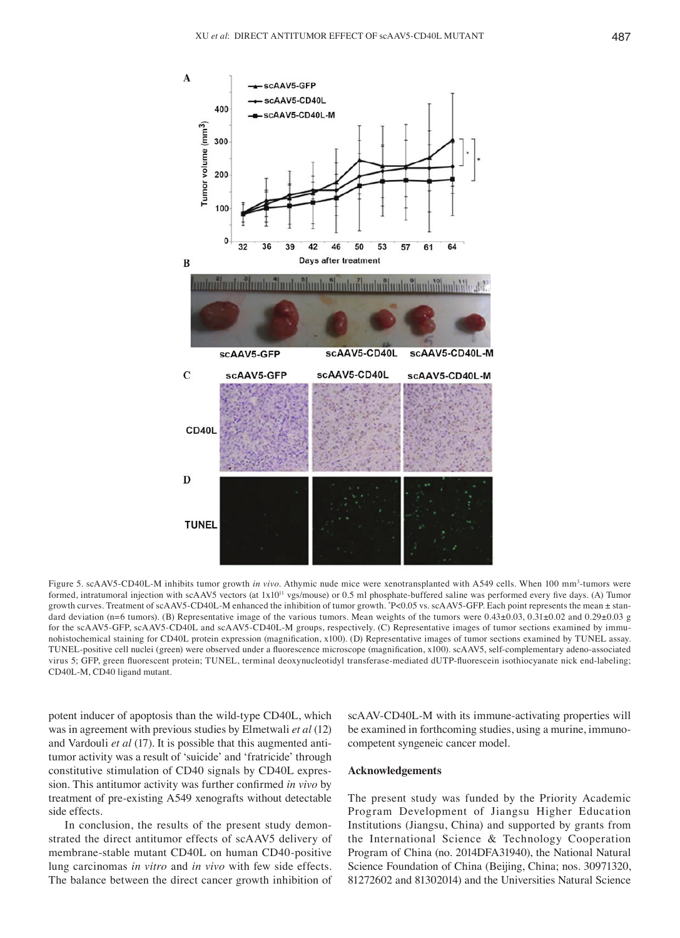

Figure 5. scAAV5-CD40L-M inhibits tumor growth *in vivo*. Athymic nude mice were xenotransplanted with A549 cells. When 100 mm<sup>3</sup>-tumors were formed, intratumoral injection with scAAV5 vectors (at 1x10<sup>11</sup> vgs/mouse) or 0.5 ml phosphate-buffered saline was performed every five days. (A) Tumor growth curves. Treatment of scAAV5-CD40L-M enhanced the inhibition of tumor growth. \* P<0.05 vs. scAAV5-GFP. Each point represents the mean ± standard deviation (n=6 tumors). (B) Representative image of the various tumors. Mean weights of the tumors were  $0.43\pm0.03$ ,  $0.31\pm0.02$  and  $0.29\pm0.03$  g for the scAAV5-GFP, scAAV5-CD40L and scAAV5-CD40L-M groups, respectively. (C) Representative images of tumor sections examined by immunohistochemical staining for CD40L protein expression (magnification, x100). (D) Representative images of tumor sections examined by TUNEL assay. TUNEL-positive cell nuclei (green) were observed under a fluorescence microscope (magnification, x100). scAAV5, self‑complementary adeno‑associated virus 5; GFP, green fluorescent protein; TUNEL, terminal deoxynucleotidyl transferase-mediated dUTP-fluorescein isothiocyanate nick end-labeling; CD40L-M, CD40 ligand mutant.

potent inducer of apoptosis than the wild-type CD40L, which was in agreement with previous studies by Elmetwali *et al* (12) and Vardouli *et al* (17). It is possible that this augmented antitumor activity was a result of 'suicide' and 'fratricide' through constitutive stimulation of CD40 signals by CD40L expression. This antitumor activity was further confirmed *in vivo* by treatment of pre-existing A549 xenografts without detectable side effects.

In conclusion, the results of the present study demonstrated the direct antitumor effects of scAAV5 delivery of membrane-stable mutant CD40L on human CD40-positive lung carcinomas *in vitro* and *in vivo* with few side effects. The balance between the direct cancer growth inhibition of

scAAV-CD40L-M with its immune-activating properties will be examined in forthcoming studies, using a murine, immunocompetent syngeneic cancer model.

# **Acknowledgements**

The present study was funded by the Priority Academic Program Development of Jiangsu Higher Education Institutions (Jiangsu, China) and supported by grants from the International Science & Technology Cooperation Program of China (no. 2014DFA31940), the National Natural Science Foundation of China (Beijing, China; nos. 30971320, 81272602 and 81302014) and the Universities Natural Science